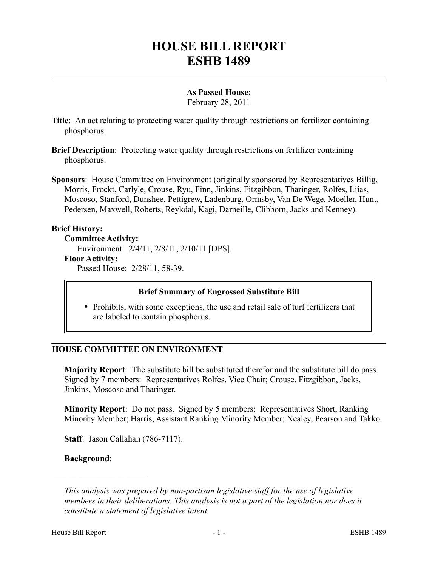# **HOUSE BILL REPORT ESHB 1489**

## **As Passed House:**

February 28, 2011

- **Title**: An act relating to protecting water quality through restrictions on fertilizer containing phosphorus.
- **Brief Description**: Protecting water quality through restrictions on fertilizer containing phosphorus.
- **Sponsors**: House Committee on Environment (originally sponsored by Representatives Billig, Morris, Frockt, Carlyle, Crouse, Ryu, Finn, Jinkins, Fitzgibbon, Tharinger, Rolfes, Liias, Moscoso, Stanford, Dunshee, Pettigrew, Ladenburg, Ormsby, Van De Wege, Moeller, Hunt, Pedersen, Maxwell, Roberts, Reykdal, Kagi, Darneille, Clibborn, Jacks and Kenney).

## **Brief History:**

**Committee Activity:**

Environment: 2/4/11, 2/8/11, 2/10/11 [DPS].

**Floor Activity:**

Passed House: 2/28/11, 58-39.

## **Brief Summary of Engrossed Substitute Bill**

• Prohibits, with some exceptions, the use and retail sale of turf fertilizers that are labeled to contain phosphorus.

## **HOUSE COMMITTEE ON ENVIRONMENT**

**Majority Report**: The substitute bill be substituted therefor and the substitute bill do pass. Signed by 7 members: Representatives Rolfes, Vice Chair; Crouse, Fitzgibbon, Jacks, Jinkins, Moscoso and Tharinger.

**Minority Report**: Do not pass. Signed by 5 members: Representatives Short, Ranking Minority Member; Harris, Assistant Ranking Minority Member; Nealey, Pearson and Takko.

**Staff**: Jason Callahan (786-7117).

#### **Background**:

––––––––––––––––––––––

*This analysis was prepared by non-partisan legislative staff for the use of legislative members in their deliberations. This analysis is not a part of the legislation nor does it constitute a statement of legislative intent.*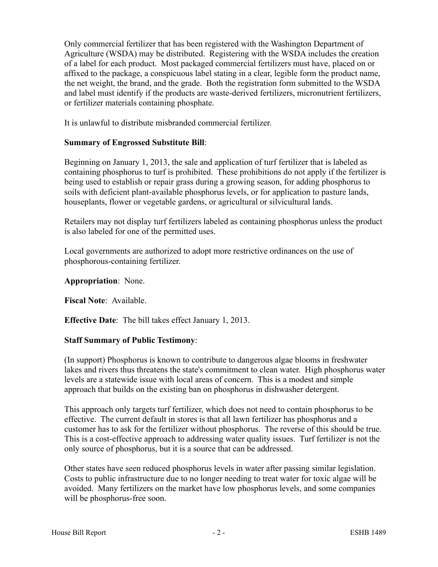Only commercial fertilizer that has been registered with the Washington Department of Agriculture (WSDA) may be distributed. Registering with the WSDA includes the creation of a label for each product. Most packaged commercial fertilizers must have, placed on or affixed to the package, a conspicuous label stating in a clear, legible form the product name, the net weight, the brand, and the grade. Both the registration form submitted to the WSDA and label must identify if the products are waste-derived fertilizers, micronutrient fertilizers, or fertilizer materials containing phosphate.

It is unlawful to distribute misbranded commercial fertilizer.

## **Summary of Engrossed Substitute Bill**:

Beginning on January 1, 2013, the sale and application of turf fertilizer that is labeled as containing phosphorus to turf is prohibited. These prohibitions do not apply if the fertilizer is being used to establish or repair grass during a growing season, for adding phosphorus to soils with deficient plant-available phosphorus levels, or for application to pasture lands, houseplants, flower or vegetable gardens, or agricultural or silvicultural lands.

Retailers may not display turf fertilizers labeled as containing phosphorus unless the product is also labeled for one of the permitted uses.

Local governments are authorized to adopt more restrictive ordinances on the use of phosphorous-containing fertilizer.

**Appropriation**: None.

**Fiscal Note**: Available.

**Effective Date**: The bill takes effect January 1, 2013.

## **Staff Summary of Public Testimony**:

(In support) Phosphorus is known to contribute to dangerous algae blooms in freshwater lakes and rivers thus threatens the state's commitment to clean water. High phosphorus water levels are a statewide issue with local areas of concern. This is a modest and simple approach that builds on the existing ban on phosphorus in dishwasher detergent.

This approach only targets turf fertilizer, which does not need to contain phosphorus to be effective. The current default in stores is that all lawn fertilizer has phosphorus and a customer has to ask for the fertilizer without phosphorus. The reverse of this should be true. This is a cost-effective approach to addressing water quality issues. Turf fertilizer is not the only source of phosphorus, but it is a source that can be addressed.

Other states have seen reduced phosphorus levels in water after passing similar legislation. Costs to public infrastructure due to no longer needing to treat water for toxic algae will be avoided. Many fertilizers on the market have low phosphorus levels, and some companies will be phosphorus-free soon.